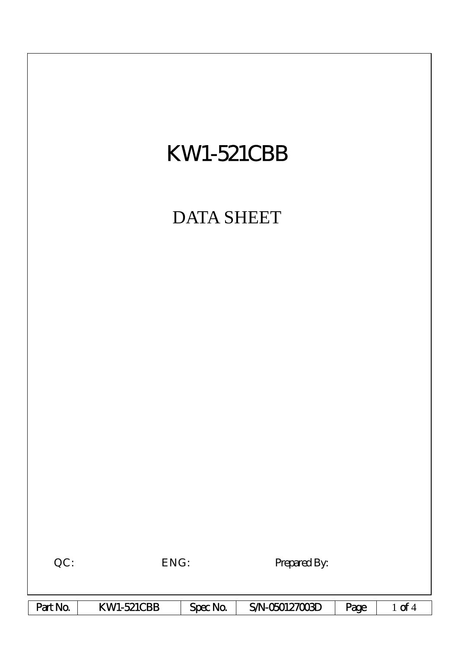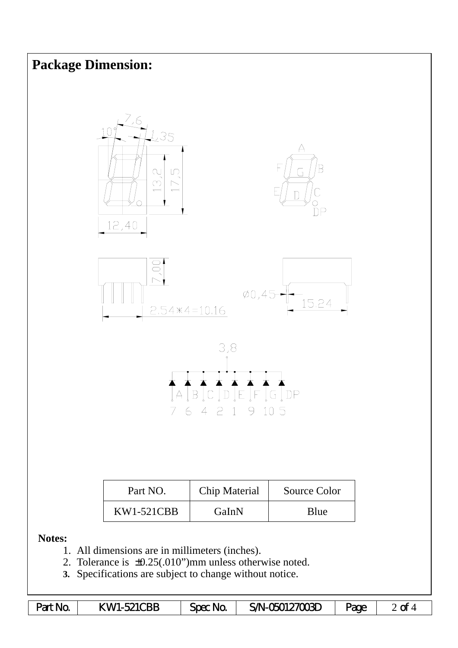

**3.** Specifications are subject to change without notice.

| Part No. | <b>KW1-521CBB</b> | Spec No. | S/N-050127003D | Page |  |
|----------|-------------------|----------|----------------|------|--|
|----------|-------------------|----------|----------------|------|--|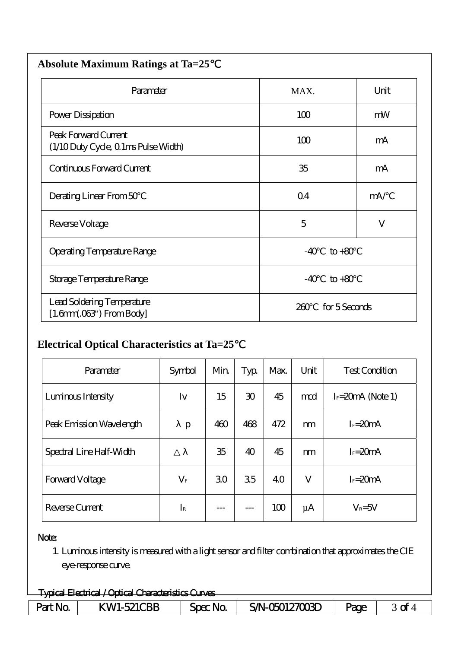| <b>Absolute Maximum Ratings at Ta=25</b>                           |                      |      |  |  |  |  |
|--------------------------------------------------------------------|----------------------|------|--|--|--|--|
| Parameter                                                          | MAX.                 | Unit |  |  |  |  |
| Power Dissipation                                                  | 100                  | mW   |  |  |  |  |
| Peak Forward Current<br>(1/10 Duty Cycle, 0 1ms Pulse Width)       | 100                  | mA   |  |  |  |  |
| Continuous Forward Current                                         | 35                   | mA   |  |  |  |  |
| Derating Linear From 50                                            | $\Omega$ 4           | mA/  |  |  |  |  |
| Reverse Voltage                                                    | 5                    | V    |  |  |  |  |
| <b>Operating Temperature Range</b>                                 | $-40$<br>$to +80$    |      |  |  |  |  |
| Storage Temperature Range                                          | $-40$<br>$to +80$    |      |  |  |  |  |
| Lead Soldering Temperature<br>$[1.6mm.03$ <sup>"</sup> ) From Body | for 5 Seconds<br>260 |      |  |  |  |  |

## **Electrical Optical Characteristics at Ta=25**℃

| Parameter                | Symbol          | Min | Typ             | Max. | Unit    | <b>Test Condition</b> |
|--------------------------|-----------------|-----|-----------------|------|---------|-----------------------|
| Luminous Intensity       | Iv              | 15  | 30 <sup>°</sup> | 45   | md      | $I = 20$ mA (Note 1)  |
| Peak Emission Wavelength | p               | 460 | 468             | 472  | m       | $I_F = 20mA$          |
| Spectral Line Half-Width |                 | 35  | 40              | 45   | m       | $I_F = 20mA$          |
| Forward Voltage          | $\rm V_{\rm F}$ | 30  | 35              | 40   | V       | $I_F = 20mA$          |
| Reverse Current          | $I_{\rm R}$     |     |                 | 100  | $\mu$ A | $V_R = 5V$            |

## Note:

1. Luminous intensity is measured with a light sensor and filter combination that approximates the CIE eye-response curve.

| Tyrical Flectrical / Ortical Characteristics Curves |                        |                 |                                     |      |    |  |  |
|-----------------------------------------------------|------------------------|-----------------|-------------------------------------|------|----|--|--|
| <del>- Taux Liuttu / Upiui Viltuusilu) vu Yu)</del> |                        |                 |                                     |      |    |  |  |
| Na.<br><b>Part</b>                                  | <b>TBB</b><br>- K WL - | Nr<br>$Spec$ No | $\gamma$ 127 $\gamma$ 171<br>SALI R | -200 | -F |  |  |